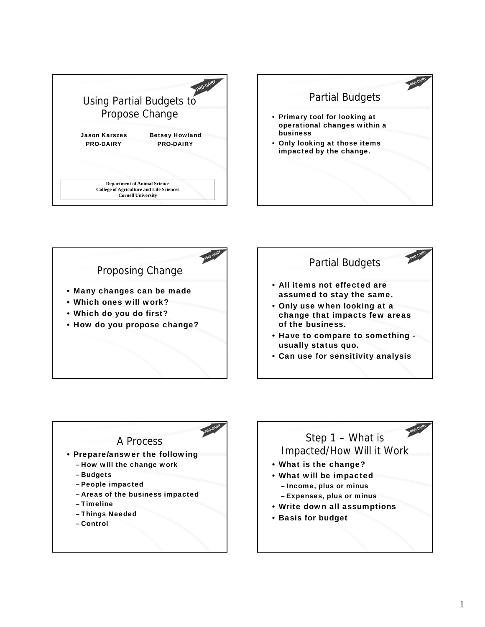







## A Process • Prepare/answer the following – How will the change work – Budgets – People impacted – Areas of the business impacted – Timeline – Things Needed

– Control

## Step 1 – What is Impacted/How Will it Work

- What is the change?
- What will be impacted – Income, plus or minus – Expenses, plus or minus
- Write down all assumptions
- Basis for budget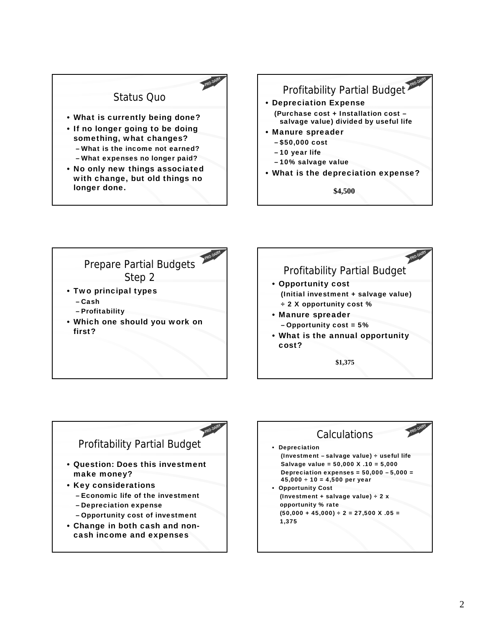



- \$50,000 cost
- 10 year life
- 10% salvage value
- What is the depreciation expense?

**\$4,500**







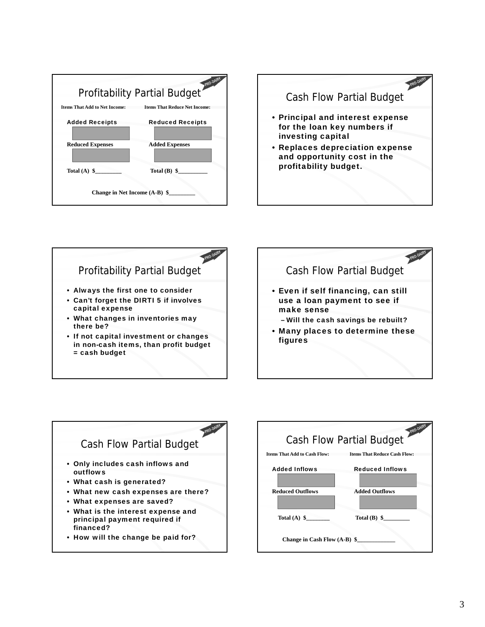











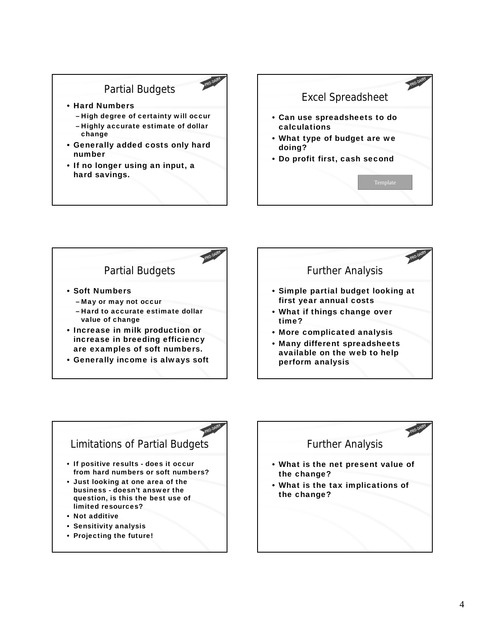## Partial Budgets

- Hard Numbers
	- High degree of certainty will occur
	- Highly accurate estimate of dollar change
- Generally added costs only hard number
- If no longer using an input, a hard savings.





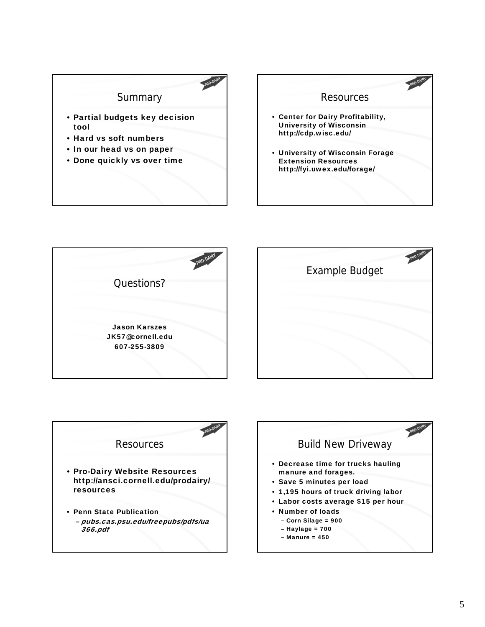







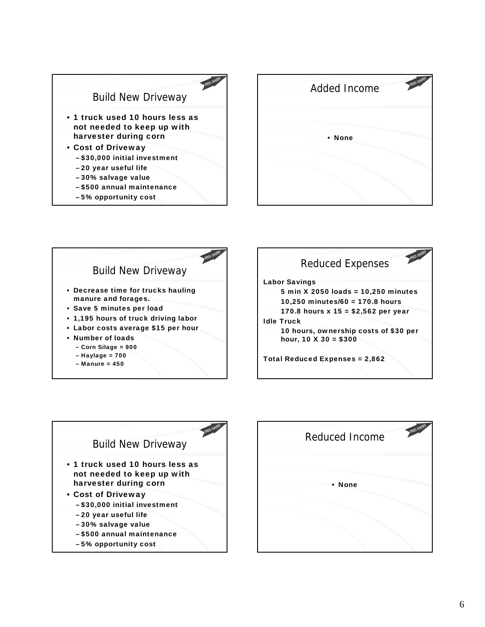

– 5% opportunity cost





– Manure = 450





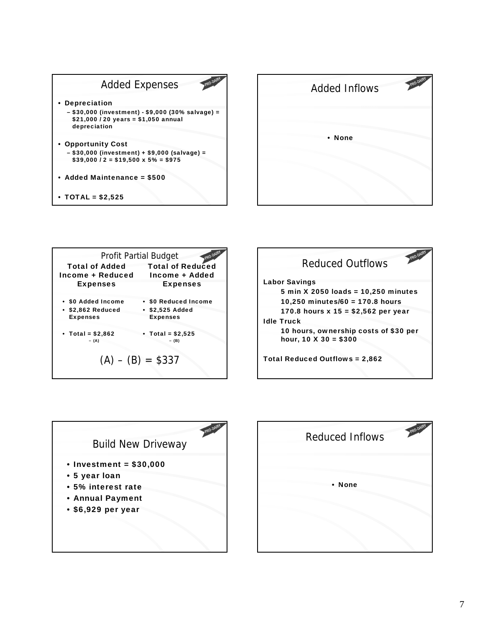









| PRO-DAIRY<br><b>Reduced Inflows</b> |  |
|-------------------------------------|--|
| • None                              |  |
|                                     |  |